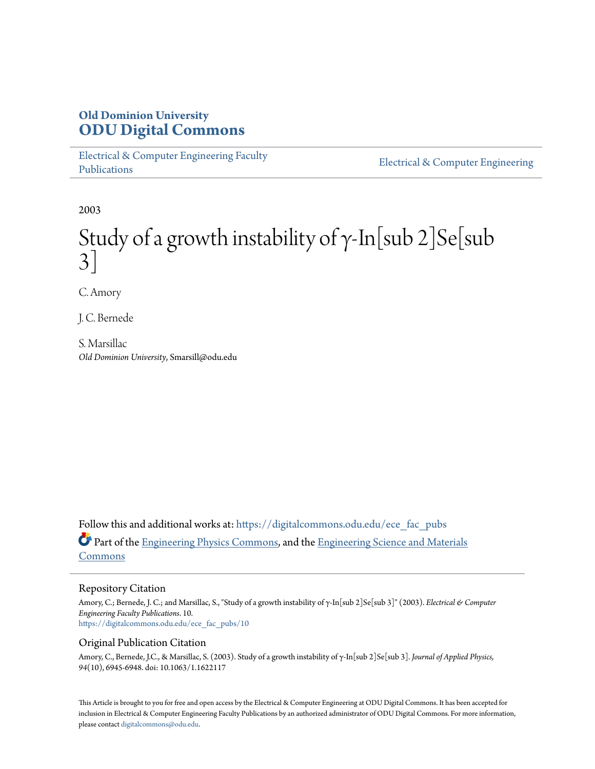# **Old Dominion University [ODU Digital Commons](https://digitalcommons.odu.edu?utm_source=digitalcommons.odu.edu%2Fece_fac_pubs%2F10&utm_medium=PDF&utm_campaign=PDFCoverPages)**

[Electrical & Computer Engineering Faculty](https://digitalcommons.odu.edu/ece_fac_pubs?utm_source=digitalcommons.odu.edu%2Fece_fac_pubs%2F10&utm_medium=PDF&utm_campaign=PDFCoverPages) [Publications](https://digitalcommons.odu.edu/ece_fac_pubs?utm_source=digitalcommons.odu.edu%2Fece_fac_pubs%2F10&utm_medium=PDF&utm_campaign=PDFCoverPages)

[Electrical & Computer Engineering](https://digitalcommons.odu.edu/ece?utm_source=digitalcommons.odu.edu%2Fece_fac_pubs%2F10&utm_medium=PDF&utm_campaign=PDFCoverPages)

2003

# Study of a growth instability of  $\gamma$ -In[sub 2]Se[sub 3]

C. Amory

J. C. Bernede

S. Marsillac *Old Dominion University*, Smarsill@odu.edu

Follow this and additional works at: [https://digitalcommons.odu.edu/ece\\_fac\\_pubs](https://digitalcommons.odu.edu/ece_fac_pubs?utm_source=digitalcommons.odu.edu%2Fece_fac_pubs%2F10&utm_medium=PDF&utm_campaign=PDFCoverPages) Part of the [Engineering Physics Commons](http://network.bepress.com/hgg/discipline/200?utm_source=digitalcommons.odu.edu%2Fece_fac_pubs%2F10&utm_medium=PDF&utm_campaign=PDFCoverPages), and the [Engineering Science and Materials](http://network.bepress.com/hgg/discipline/279?utm_source=digitalcommons.odu.edu%2Fece_fac_pubs%2F10&utm_medium=PDF&utm_campaign=PDFCoverPages) [Commons](http://network.bepress.com/hgg/discipline/279?utm_source=digitalcommons.odu.edu%2Fece_fac_pubs%2F10&utm_medium=PDF&utm_campaign=PDFCoverPages)

### Repository Citation

Amory, C.; Bernede, J. C.; and Marsillac, S., "Study of a growth instability of γ-In[sub 2]Se[sub 3]" (2003). *Electrical & Computer Engineering Faculty Publications*. 10. [https://digitalcommons.odu.edu/ece\\_fac\\_pubs/10](https://digitalcommons.odu.edu/ece_fac_pubs/10?utm_source=digitalcommons.odu.edu%2Fece_fac_pubs%2F10&utm_medium=PDF&utm_campaign=PDFCoverPages)

### Original Publication Citation

Amory, C., Bernede, J.C., & Marsillac, S. (2003). Study of a growth instability of γ-In[sub 2]Se[sub 3]. *Journal of Applied Physics, 94*(10), 6945-6948. doi: 10.1063/1.1622117

This Article is brought to you for free and open access by the Electrical & Computer Engineering at ODU Digital Commons. It has been accepted for inclusion in Electrical & Computer Engineering Faculty Publications by an authorized administrator of ODU Digital Commons. For more information, please contact [digitalcommons@odu.edu](mailto:digitalcommons@odu.edu).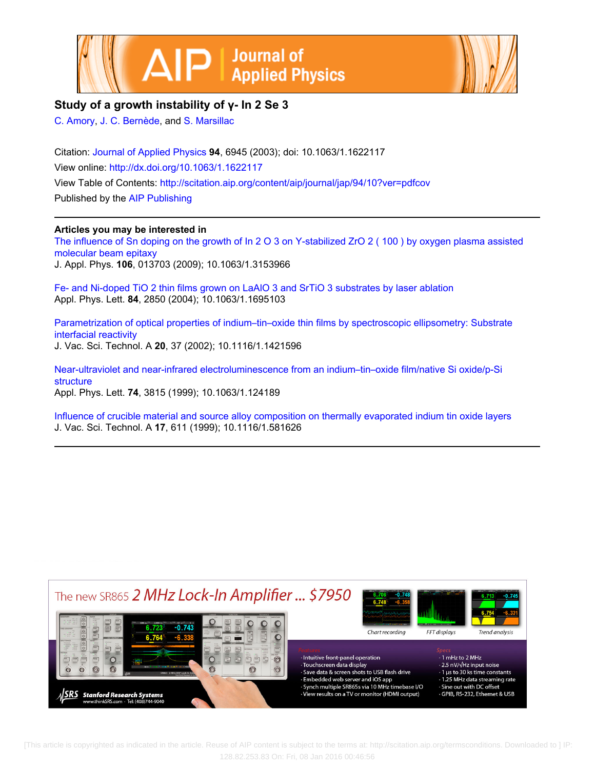



# **Study of a growth instability of γ- In 2 Se 3**

[C. Amory,](http://scitation.aip.org/search?value1=C.+Amory&option1=author) [J. C. Bernède](http://scitation.aip.org/search?value1=J.+C.+Bern�de&option1=author), and [S. Marsillac](http://scitation.aip.org/search?value1=S.+Marsillac&option1=author)

Citation: [Journal of Applied Physics](http://scitation.aip.org/content/aip/journal/jap?ver=pdfcov) **94**, 6945 (2003); doi: 10.1063/1.1622117 View online: <http://dx.doi.org/10.1063/1.1622117> View Table of Contents: <http://scitation.aip.org/content/aip/journal/jap/94/10?ver=pdfcov> Published by the [AIP Publishing](http://scitation.aip.org/content/aip?ver=pdfcov)

## **Articles you may be interested in**

[The influence of Sn doping on the growth of In 2 O 3 on Y-stabilized ZrO 2 \( 100 \) by oxygen plasma assisted](http://scitation.aip.org/content/aip/journal/jap/106/1/10.1063/1.3153966?ver=pdfcov) [molecular beam epitaxy](http://scitation.aip.org/content/aip/journal/jap/106/1/10.1063/1.3153966?ver=pdfcov) J. Appl. Phys. **106**, 013703 (2009); 10.1063/1.3153966

[Fe- and Ni-doped TiO 2 thin films grown on LaAlO 3 and SrTiO 3 substrates by laser ablation](http://scitation.aip.org/content/aip/journal/apl/84/15/10.1063/1.1695103?ver=pdfcov) Appl. Phys. Lett. **84**, 2850 (2004); 10.1063/1.1695103

[Parametrization of optical properties of indium–tin–oxide thin films by spectroscopic ellipsometry: Substrate](http://scitation.aip.org/content/avs/journal/jvsta/20/1/10.1116/1.1421596?ver=pdfcov) [interfacial reactivity](http://scitation.aip.org/content/avs/journal/jvsta/20/1/10.1116/1.1421596?ver=pdfcov) J. Vac. Sci. Technol. A **20**, 37 (2002); 10.1116/1.1421596

[Near-ultraviolet and near-infrared electroluminescence from an indium–tin–oxide film/native Si oxide/p-Si](http://scitation.aip.org/content/aip/journal/apl/74/25/10.1063/1.124189?ver=pdfcov) [structure](http://scitation.aip.org/content/aip/journal/apl/74/25/10.1063/1.124189?ver=pdfcov) Appl. Phys. Lett. **74**, 3815 (1999); 10.1063/1.124189

[Influence of crucible material and source alloy composition on thermally evaporated indium tin oxide layers](http://scitation.aip.org/content/avs/journal/jvsta/17/2/10.1116/1.581626?ver=pdfcov) J. Vac. Sci. Technol. A **17**, 611 (1999); 10.1116/1.581626



 [This article is copyrighted as indicated in the article. Reuse of AIP content is subject to the terms at: http://scitation.aip.org/termsconditions. Downloaded to ] IP: 128.82.253.83 On: Fri, 08 Jan 2016 00:46:56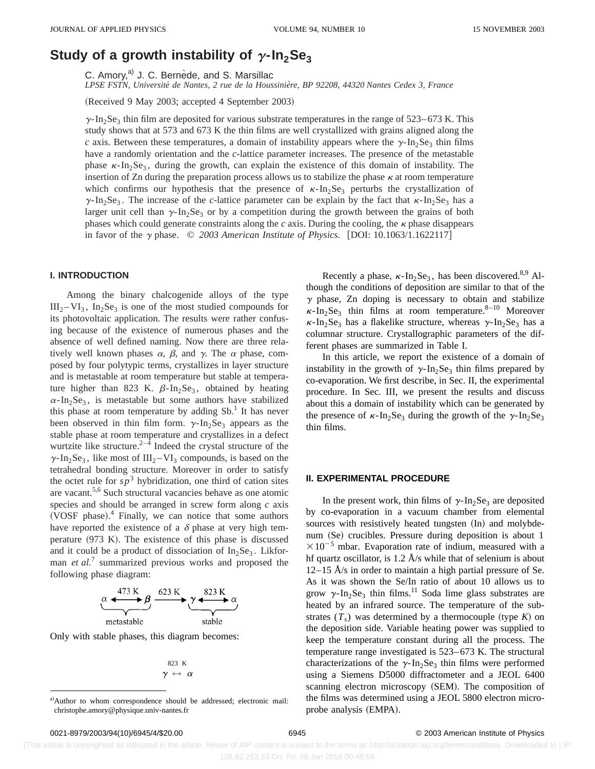# **Study of a growth instability of**  $\gamma$ **-In<sub>2</sub>Se<sub>3</sub>**

C. Amory,<sup>a)</sup> J. C. Bernède, and S. Marsillac

*LPSE FSTN, Universite´ de Nantes, 2 rue de la Houssinie`re, BP 92208, 44320 Nantes Cedex 3, France*

(Received 9 May 2003; accepted 4 September 2003)

 $\gamma$ -In<sub>2</sub>Se<sub>3</sub> thin film are deposited for various substrate temperatures in the range of 523–673 K. This study shows that at 573 and 673 K the thin films are well crystallized with grains aligned along the *c* axis. Between these temperatures, a domain of instability appears where the  $\gamma$ -In<sub>2</sub>Se<sub>3</sub> thin films have a randomly orientation and the *c*-lattice parameter increases. The presence of the metastable phase  $\kappa$ -In<sub>2</sub>Se<sub>3</sub>, during the growth, can explain the existence of this domain of instability. The insertion of Zn during the preparation process allows us to stabilize the phase  $\kappa$  at room temperature which confirms our hypothesis that the presence of  $\kappa$ -In<sub>2</sub>Se<sub>3</sub> perturbs the crystallization of  $\gamma$ -In<sub>2</sub>Se<sub>3</sub>. The increase of the *c*-lattice parameter can be explain by the fact that  $\kappa$ -In<sub>2</sub>Se<sub>3</sub> has a larger unit cell than  $\gamma$ -In<sub>2</sub>Se<sub>3</sub> or by a competition during the growth between the grains of both phases which could generate constraints along the  $c$  axis. During the cooling, the  $\kappa$  phase disappears in favor of the  $\gamma$  phase.  $\odot$  2003 American Institute of Physics. [DOI: 10.1063/1.1622117]

### **I. INTRODUCTION**

Among the binary chalcogenide alloys of the type  $III_2 - VI_3$ ,  $In_2Se_3$  is one of the most studied compounds for its photovoltaic application. The results were rather confusing because of the existence of numerous phases and the absence of well defined naming. Now there are three relatively well known phases  $\alpha$ ,  $\beta$ , and  $\gamma$ . The  $\alpha$  phase, composed by four polytypic terms, crystallizes in layer structure and is metastable at room temperature but stable at temperature higher than 823 K.  $\beta$ -In<sub>2</sub>Se<sub>3</sub>, obtained by heating  $\alpha$ -In<sub>2</sub>Se<sub>3</sub>, is metastable but some authors have stabilized this phase at room temperature by adding  $Sb<sup>1</sup>$  It has never been observed in thin film form.  $\gamma$ -In<sub>2</sub>Se<sub>3</sub> appears as the stable phase at room temperature and crystallizes in a defect wurtzite like structure.<sup>2–4</sup> Indeed the crystal structure of the  $\gamma$ -In<sub>2</sub>Se<sub>3</sub>, like most of III<sub>2</sub> – VI<sub>3</sub> compounds, is based on the tetrahedral bonding structure. Moreover in order to satisfy the octet rule for  $sp^3$  hybridization, one third of cation sites are vacant.5,6 Such structural vacancies behave as one atomic species and should be arranged in screw form along *c* axis (VOSF phase). $4$  Finally, we can notice that some authors have reported the existence of a  $\delta$  phase at very high temperature  $(973 \text{ K})$ . The existence of this phase is discussed and it could be a product of dissociation of  $In_2Se_3$ . Likforman *et al.*<sup>7</sup> summarized previous works and proposed the following phase diagram:

$$
\underbrace{\alpha \xrightarrow{473 \text{ K}} \beta}_{\text{metastable}} \xrightarrow{623 \text{ K}} \underbrace{\gamma \xrightarrow{823 \text{ K}}}_{\text{stable}}
$$

Only with stable phases, this diagram becomes:

$$
\begin{array}{r} 823 \textrm{ K} \\ \gamma \leftrightarrow \alpha \end{array}
$$

Recently a phase,  $\kappa$ -In<sub>2</sub>Se<sub>3</sub>, has been discovered.<sup>8,9</sup> Although the conditions of deposition are similar to that of the  $\gamma$  phase, Zn doping is necessary to obtain and stabilize  $\kappa$ -In<sub>2</sub>Se<sub>3</sub> thin films at room temperature.<sup>8-10</sup> Moreover  $\kappa$ -In<sub>2</sub>Se<sub>3</sub> has a flakelike structure, whereas  $\gamma$ -In<sub>2</sub>Se<sub>3</sub> has a columnar structure. Crystallographic parameters of the different phases are summarized in Table I.

In this article, we report the existence of a domain of instability in the growth of  $\gamma$ -In<sub>2</sub>Se<sub>3</sub> thin films prepared by co-evaporation. We first describe, in Sec. II, the experimental procedure. In Sec. III, we present the results and discuss about this a domain of instability which can be generated by the presence of  $\kappa$ -In<sub>2</sub>Se<sub>3</sub> during the growth of the  $\gamma$ -In<sub>2</sub>Se<sub>3</sub> thin films.

#### **II. EXPERIMENTAL PROCEDURE**

In the present work, thin films of  $\gamma$ -In<sub>2</sub>Se<sub>3</sub> are deposited by co-evaporation in a vacuum chamber from elemental sources with resistively heated tungsten (In) and molybdenum (Se) crucibles. Pressure during deposition is about 1  $\times 10^{-5}$  mbar. Evaporation rate of indium, measured with a hf quartz oscillator, is  $1.2 \text{ Å/s}$  while that of selenium is about  $12-15$  Å/s in order to maintain a high partial pressure of Se. As it was shown the Se/In ratio of about 10 allows us to grow  $\gamma$ -In<sub>2</sub>Se<sub>3</sub> thin films.<sup>11</sup> Soda lime glass substrates are heated by an infrared source. The temperature of the substrates  $(T_s)$  was determined by a thermocouple (type *K*) on the deposition side. Variable heating power was supplied to keep the temperature constant during all the process. The temperature range investigated is 523–673 K. The structural characterizations of the  $\gamma$ -In<sub>2</sub>Se<sub>3</sub> thin films were performed using a Siemens D5000 diffractometer and a JEOL 6400 scanning electron microscopy (SEM). The composition of the films was determined using a JEOL 5800 electron microprobe analysis (EMPA).

 [This article is copyrighted as indicated in the article. Reuse of AIP content is subject to the terms at: http://scitation.aip.org/termsconditions. Downloaded to ] IP: 128.82.253.83 On: Fri, 08 Jan 2016 00:46:56

a)Author to whom correspondence should be addressed; electronic mail: christophe.amory@physique.univ-nantes.fr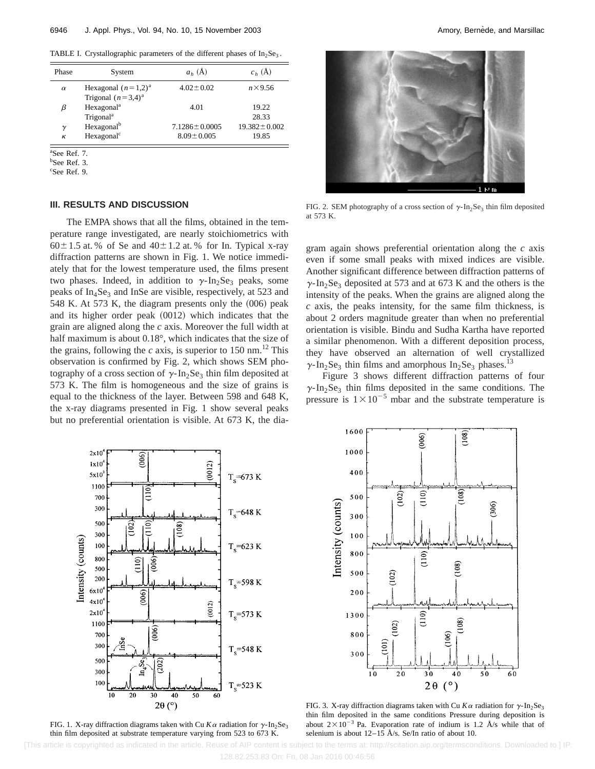TABLE I. Crystallographic parameters of the different phases of  $In_2Se_3$ .

| Phase    | System                                           | $ab$ (Å)                                | $c_h(\AA)$                  |
|----------|--------------------------------------------------|-----------------------------------------|-----------------------------|
| $\alpha$ | Hexagonal $(n=1,2)^a$<br>Trigonal $(n=3,4)^a$    | $4.02 \pm 0.02$                         | $n \times 9.56$             |
| β        | Hexagonal <sup>a</sup><br>Trigonal <sup>a</sup>  | 4.01                                    | 19.22<br>28.33              |
| γ<br>к   | Hexagonal <sup>b</sup><br>Hexagonal <sup>c</sup> | $7.1286 \pm 0.0005$<br>$8.09 \pm 0.005$ | $19.382 \pm 0.002$<br>19.85 |

a See Ref. 7.

<sup>b</sup>See Ref. 3.

c See Ref. 9.

#### **III. RESULTS AND DISCUSSION**

The EMPA shows that all the films, obtained in the temperature range investigated, are nearly stoichiometrics with  $60\pm1.5$  at. % of Se and  $40\pm1.2$  at. % for In. Typical x-ray diffraction patterns are shown in Fig. 1. We notice immediately that for the lowest temperature used, the films present two phases. Indeed, in addition to  $\gamma$ -In<sub>2</sub>Se<sub>3</sub> peaks, some peaks of  $In_4$ Se<sub>3</sub> and InSe are visible, respectively, at 523 and 548 K. At 573 K, the diagram presents only the  $(006)$  peak and its higher order peak  $(0012)$  which indicates that the grain are aligned along the *c* axis. Moreover the full width at half maximum is about 0.18°, which indicates that the size of the grains, following the *c* axis, is superior to 150 nm.<sup>12</sup> This observation is confirmed by Fig. 2, which shows SEM photography of a cross section of  $\gamma$ -In<sub>2</sub>Se<sub>3</sub> thin film deposited at 573 K. The film is homogeneous and the size of grains is equal to the thickness of the layer. Between 598 and 648 K, the x-ray diagrams presented in Fig. 1 show several peaks but no preferential orientation is visible. At 673 K, the dia-



FIG. 2. SEM photography of a cross section of  $\gamma$ -In<sub>2</sub>Se<sub>3</sub> thin film deposited at 573 K.

gram again shows preferential orientation along the *c* axis even if some small peaks with mixed indices are visible. Another significant difference between diffraction patterns of  $\gamma$ -In<sub>2</sub>Se<sub>3</sub> deposited at 573 and at 673 K and the others is the intensity of the peaks. When the grains are aligned along the *c* axis, the peaks intensity, for the same film thickness, is about 2 orders magnitude greater than when no preferential orientation is visible. Bindu and Sudha Kartha have reported a similar phenomenon. With a different deposition process, they have observed an alternation of well crystallized  $\gamma$ -In<sub>2</sub>Se<sub>3</sub> thin films and amorphous In<sub>2</sub>Se<sub>3</sub> phases.<sup>13</sup>

Figure 3 shows different diffraction patterns of four  $\gamma$ -In<sub>2</sub>Se<sub>3</sub> thin films deposited in the same conditions. The pressure is  $1 \times 10^{-5}$  mbar and the substrate temperature is



FIG. 1. X-ray diffraction diagrams taken with Cu  $K\alpha$  radiation for  $\gamma$ -In<sub>2</sub>Se<sub>3</sub> thin film deposited at substrate temperature varying from 523 to 673 K.



FIG. 3. X-ray diffraction diagrams taken with Cu  $K\alpha$  radiation for  $\gamma$ -In<sub>2</sub>Se<sub>3</sub> thin film deposited in the same conditions Pressure during deposition is about  $2 \times 10^{-3}$  Pa. Evaporation rate of indium is 1.2 Å/s while that of selenium is about  $12-15$  Å/s. Se/In ratio of about 10.

[This article is copyrighted as indicated in the article. Reuse of AIP content is subject to the terms at: http://scitation.aip.org/termsconditions. Downloaded to ] IP: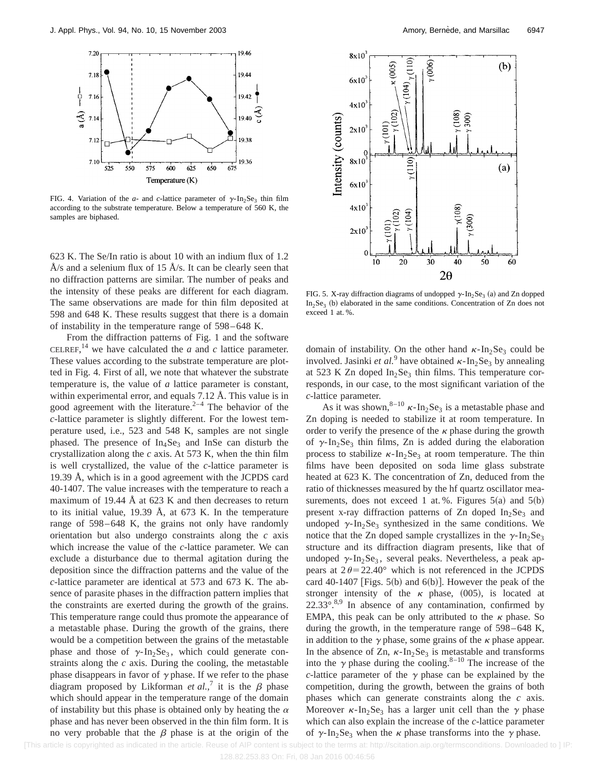

FIG. 4. Variation of the *a*- and *c*-lattice parameter of  $\gamma$ -In<sub>2</sub>Se<sub>3</sub> thin film according to the substrate temperature. Below a temperature of 560 K, the samples are biphased.

623 K. The Se/In ratio is about 10 with an indium flux of 1.2 Å/s and a selenium flux of 15 Å/s. It can be clearly seen that no diffraction patterns are similar. The number of peaks and the intensity of these peaks are different for each diagram. The same observations are made for thin film deposited at 598 and 648 K. These results suggest that there is a domain of instability in the temperature range of 598–648 K.

From the diffraction patterns of Fig. 1 and the software CELREF,<sup>14</sup> we have calculated the  $a$  and  $c$  lattice parameter. These values according to the substrate temperature are plotted in Fig. 4. First of all, we note that whatever the substrate temperature is, the value of *a* lattice parameter is constant, within experimental error, and equals 7.12 Å. This value is in good agreement with the literature.<sup>2–4</sup> The behavior of the *c*-lattice parameter is slightly different. For the lowest temperature used, i.e., 523 and 548 K, samples are not single phased. The presence of  $In<sub>4</sub>Se<sub>3</sub>$  and InSe can disturb the crystallization along the *c* axis. At 573 K, when the thin film is well crystallized, the value of the *c*-lattice parameter is 19.39 Å, which is in a good agreement with the JCPDS card 40-1407. The value increases with the temperature to reach a maximum of 19.44 Å at 623 K and then decreases to return to its initial value, 19.39 Å, at 673 K. In the temperature range of 598–648 K, the grains not only have randomly orientation but also undergo constraints along the *c* axis which increase the value of the *c*-lattice parameter. We can exclude a disturbance due to thermal agitation during the deposition since the diffraction patterns and the value of the *c*-lattice parameter are identical at 573 and 673 K. The absence of parasite phases in the diffraction pattern implies that the constraints are exerted during the growth of the grains. This temperature range could thus promote the appearance of a metastable phase. During the growth of the grains, there would be a competition between the grains of the metastable phase and those of  $\gamma$ -In<sub>2</sub>Se<sub>3</sub>, which could generate constraints along the *c* axis. During the cooling, the metastable phase disappears in favor of  $\gamma$  phase. If we refer to the phase diagram proposed by Likforman *et al.*,<sup>7</sup> it is the  $\beta$  phase which should appear in the temperature range of the domain of instability but this phase is obtained only by heating the  $\alpha$ phase and has never been observed in the thin film form. It is no very probable that the  $\beta$  phase is at the origin of the



FIG. 5. X-ray diffraction diagrams of undopped  $\gamma$ -In<sub>2</sub>Se<sub>3</sub> (a) and Zn dopped  $In_2Se_3$  (b) elaborated in the same conditions. Concentration of Zn does not exceed 1 at. %.

domain of instability. On the other hand  $\kappa$ -In<sub>2</sub>Se<sub>3</sub> could be involved. Jasinki *et al.*<sup>9</sup> have obtained  $\kappa$ -In<sub>2</sub>Se<sub>3</sub> by annealing at 523 K Zn doped  $In<sub>2</sub>Se<sub>3</sub>$  thin films. This temperature corresponds, in our case, to the most significant variation of the *c*-lattice parameter.

As it was shown,  $8-10$   $\kappa$ -In<sub>2</sub>Se<sub>3</sub> is a metastable phase and Zn doping is needed to stabilize it at room temperature. In order to verify the presence of the  $\kappa$  phase during the growth of  $\gamma$ -In<sub>2</sub>Se<sub>3</sub> thin films, Zn is added during the elaboration process to stabilize  $\kappa$ -In<sub>2</sub>Se<sub>3</sub> at room temperature. The thin films have been deposited on soda lime glass substrate heated at 623 K. The concentration of Zn, deduced from the ratio of thicknesses measured by the hf quartz oscillator measurements, does not exceed 1 at. %. Figures  $5(a)$  and  $5(b)$ present x-ray diffraction patterns of Zn doped  $In_2Se_3$  and undoped  $\gamma$ -In<sub>2</sub>Se<sub>3</sub> synthesized in the same conditions. We notice that the Zn doped sample crystallizes in the  $\gamma$ -In<sub>2</sub>Se<sub>3</sub> structure and its diffraction diagram presents, like that of undoped  $\gamma$ -In<sub>2</sub>Se<sub>3</sub>, several peaks. Nevertheless, a peak appears at  $2\theta = 22.40^{\circ}$  which is not referenced in the JCPDS card 40-1407 [Figs. 5(b) and  $6(b)$ ]. However the peak of the stronger intensity of the  $\kappa$  phase, (005), is located at  $22.33^{\circ}$ .<sup>8,9</sup> In absence of any contamination, confirmed by EMPA, this peak can be only attributed to the  $\kappa$  phase. So during the growth, in the temperature range of 598–648 K, in addition to the  $\gamma$  phase, some grains of the  $\kappa$  phase appear. In the absence of Zn,  $\kappa$ -In<sub>2</sub>Se<sub>3</sub> is metastable and transforms into the  $\gamma$  phase during the cooling.<sup>8–10</sup> The increase of the *c*-lattice parameter of the  $\gamma$  phase can be explained by the competition, during the growth, between the grains of both phases which can generate constraints along the *c* axis. Moreover  $\kappa$ -In<sub>2</sub>Se<sub>3</sub> has a larger unit cell than the  $\gamma$  phase which can also explain the increase of the *c*-lattice parameter of  $\gamma$ -In<sub>2</sub>Se<sub>3</sub> when the  $\kappa$  phase transforms into the  $\gamma$  phase.